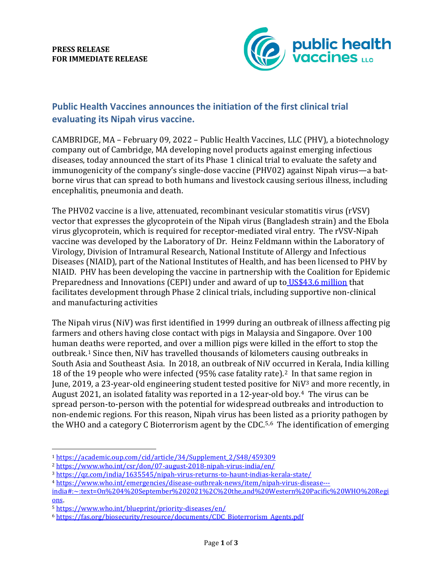**PRESS RELEASE FOR IMMEDIATE RELEASE**



## **Public Health Vaccines announces the initiation of the first clinical trial evaluating its Nipah virus vaccine.**

CAMBRIDGE, MA – February 09, 2022 – Public Health Vaccines, LLC (PHV), a biotechnology company out of Cambridge, MA developing novel products against emerging infectious diseases, today announced the start of its Phase 1 clinical trial to evaluate the safety and immunogenicity of the company's single-dose vaccine (PHV02) against Nipah virus—a batborne virus that can spread to both humans and livestock causing serious illness, including encephalitis, pneumonia and death.

The PHV02 vaccine is a live, attenuated, recombinant vesicular stomatitis virus (rVSV) vector that expresses the glycoprotein of the Nipah virus (Bangladesh strain) and the Ebola virus glycoprotein, which is required for receptor-mediated viral entry. The rVSV-Nipah vaccine was developed by the Laboratory of Dr. Heinz Feldmann within the Laboratory of Virology, Division of Intramural Research, National Institute of Allergy and Infectious Diseases (NIAID), part of the National Institutes of Health, and has been licensed to PHV by NIAID. PHV has been developing the vaccine in partnership with the Coalition for Epidemic Preparedness and Innovations (CEPI) under and award of up to [US\\$43.6 million](https://cepi.net/news_cepi/cepi-awards-up-to-us43-6-million-to-public-health-vaccines-llc-for-development-of-a-single-dose-nipah-virus-vaccine-candidate/) that facilitates development through Phase 2 clinical trials, including supportive non-clinical and manufacturing activities

The Nipah virus (NiV) was first identified in 1999 during an outbreak of illness affecting pig farmers and others having close contact with pigs in Malaysia and Singapore. Over 100 human deaths were reported, and over a million pigs were killed in the effort to stop the outbreak.[1](#page-0-0) Since then, NiV has travelled thousands of kilometers causing outbreaks in South Asia and Southeast Asia. In 2018, an outbreak of NiV occurred in Kerala, India killing 18 of the 19 people who were infected (95% case fatality rate)[.2](#page-0-1) In that same region in June, 2019, a 23-year-old engineering student tested positive for NiV[3](#page-0-2) and more recently, in August 2021, an isolated fatality was reported in a 12-year-old boy.<sup>[4](#page-0-3)</sup> The virus can be spread person-to-person with the potential for widespread outbreaks and introduction to non-endemic regions. For this reason, Nipah virus has been listed as a priority pathogen by the WHO and a category C Bioterrorism agent by the CDC.<sup>[5](#page-0-4),6</sup> The identification of emerging

<span id="page-0-0"></span><sup>1</sup> [https://academic.oup.com/cid/article/34/Supplement\\_2/S48/459309](https://academic.oup.com/cid/article/34/Supplement_2/S48/459309)

<span id="page-0-1"></span><sup>2</sup> <https://www.who.int/csr/don/07-august-2018-nipah-virus-india/en/>

<span id="page-0-2"></span><sup>3</sup> <https://qz.com/india/1635545/nipah-virus-returns-to-haunt-indias-kerala-state/>

<span id="page-0-3"></span><sup>4</sup> [https://www.who.int/emergencies/disease-outbreak-news/item/nipah-virus-disease---](https://www.who.int/emergencies/disease-outbreak-news/item/nipah-virus-disease---india#:%7E:text=On%204%20September%202021%2C%20the,and%20Western%20Pacific%20WHO%20Regions)

[india#:~:text=On%204%20September%202021%2C%20the,and%20Western%20Pacific%20WHO%20Regi](https://www.who.int/emergencies/disease-outbreak-news/item/nipah-virus-disease---india#:%7E:text=On%204%20September%202021%2C%20the,and%20Western%20Pacific%20WHO%20Regions) [ons.](https://www.who.int/emergencies/disease-outbreak-news/item/nipah-virus-disease---india#:%7E:text=On%204%20September%202021%2C%20the,and%20Western%20Pacific%20WHO%20Regions)

<span id="page-0-4"></span><sup>5</sup> <https://www.who.int/blueprint/priority-diseases/en/>

<span id="page-0-5"></span><sup>6</sup> [https://fas.org/biosecurity/resource/documents/CDC\\_Bioterrorism\\_Agents.pdf](https://fas.org/biosecurity/resource/documents/CDC_Bioterrorism_Agents.pdf)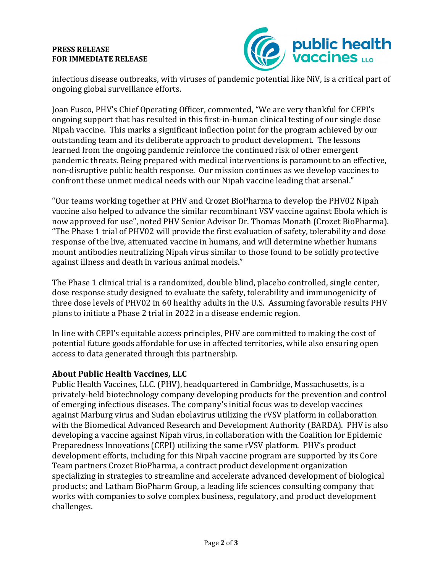## **PRESS RELEASE FOR IMMEDIATE RELEASE**



infectious disease outbreaks, with viruses of pandemic potential like NiV, is a critical part of ongoing global surveillance efforts.

Joan Fusco, PHV's Chief Operating Officer, commented, "We are very thankful for CEPI's ongoing support that has resulted in this first-in-human clinical testing of our single dose Nipah vaccine. This marks a significant inflection point for the program achieved by our outstanding team and its deliberate approach to product development. The lessons learned from the ongoing pandemic reinforce the continued risk of other emergent pandemic threats. Being prepared with medical interventions is paramount to an effective, non-disruptive public health response. Our mission continues as we develop vaccines to confront these unmet medical needs with our Nipah vaccine leading that arsenal."

"Our teams working together at PHV and Crozet BioPharma to develop the PHV02 Nipah vaccine also helped to advance the similar recombinant VSV vaccine against Ebola which is now approved for use", noted PHV Senior Advisor Dr. Thomas Monath (Crozet BioPharma). "The Phase 1 trial of PHV02 will provide the first evaluation of safety, tolerability and dose response of the live, attenuated vaccine in humans, and will determine whether humans mount antibodies neutralizing Nipah virus similar to those found to be solidly protective against illness and death in various animal models."

The Phase 1 clinical trial is a randomized, double blind, placebo controlled, single center, dose response study designed to evaluate the safety, tolerability and immunogenicity of three dose levels of PHV02 in 60 healthy adults in the U.S. Assuming favorable results PHV plans to initiate a Phase 2 trial in 2022 in a disease endemic region.

In line with CEPI's equitable access principles, PHV are committed to making the cost of potential future goods affordable for use in affected territories, while also ensuring open access to data generated through this partnership.

## **About Public Health Vaccines, LLC**

Public Health Vaccines, LLC. (PHV), headquartered in Cambridge, Massachusetts, is a privately-held biotechnology company developing products for the prevention and control of emerging infectious diseases. The company's initial focus was to develop vaccines against Marburg virus and Sudan ebolavirus utilizing the rVSV platform in collaboration with the Biomedical Advanced Research and Development Authority (BARDA). PHV is also developing a vaccine against Nipah virus, in collaboration with the Coalition for Epidemic Preparedness Innovations (CEPI) utilizing the same rVSV platform. PHV's product development efforts, including for this Nipah vaccine program are supported by its Core Team partners Crozet BioPharma, a contract product development organization specializing in strategies to streamline and accelerate advanced development of biological products; and Latham BioPharm Group, a leading life sciences consulting company that works with companies to solve complex business, regulatory, and product development challenges.